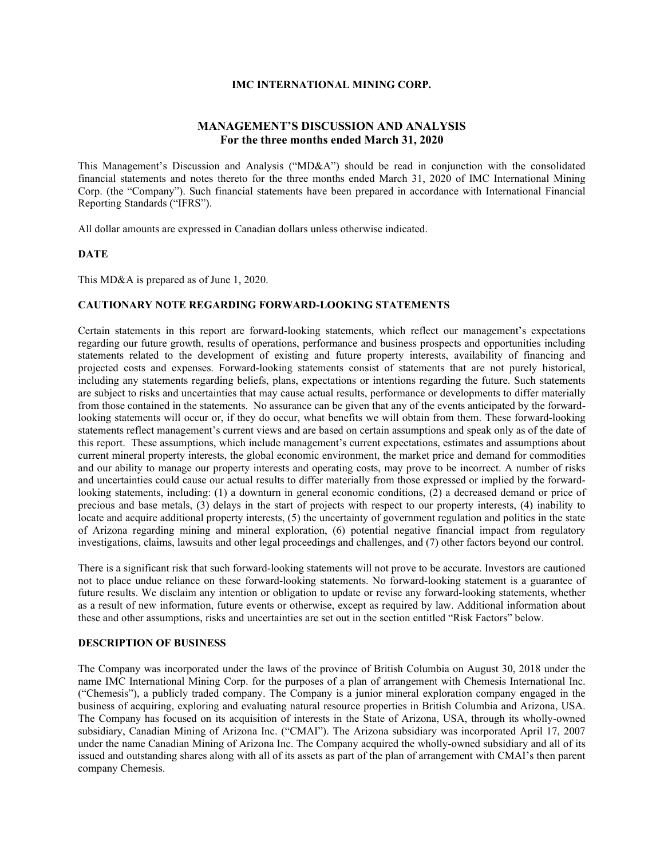#### **IMC INTERNATIONAL MINING CORP.**

## **MANAGEMENT'S DISCUSSION AND ANALYSIS For the three months ended March 31, 2020**

This Management's Discussion and Analysis ("MD&A") should be read in conjunction with the consolidated financial statements and notes thereto for the three months ended March 31, 2020 of IMC International Mining Corp. (the "Company"). Such financial statements have been prepared in accordance with International Financial Reporting Standards ("IFRS").

All dollar amounts are expressed in Canadian dollars unless otherwise indicated.

#### **DATE**

This MD&A is prepared as of June 1, 2020.

#### **CAUTIONARY NOTE REGARDING FORWARD-LOOKING STATEMENTS**

Certain statements in this report are forward-looking statements, which reflect our management's expectations regarding our future growth, results of operations, performance and business prospects and opportunities including statements related to the development of existing and future property interests, availability of financing and projected costs and expenses. Forward-looking statements consist of statements that are not purely historical, including any statements regarding beliefs, plans, expectations or intentions regarding the future. Such statements are subject to risks and uncertainties that may cause actual results, performance or developments to differ materially from those contained in the statements. No assurance can be given that any of the events anticipated by the forwardlooking statements will occur or, if they do occur, what benefits we will obtain from them. These forward-looking statements reflect management's current views and are based on certain assumptions and speak only as of the date of this report. These assumptions, which include management's current expectations, estimates and assumptions about current mineral property interests, the global economic environment, the market price and demand for commodities and our ability to manage our property interests and operating costs, may prove to be incorrect. A number of risks and uncertainties could cause our actual results to differ materially from those expressed or implied by the forwardlooking statements, including: (1) a downturn in general economic conditions, (2) a decreased demand or price of precious and base metals, (3) delays in the start of projects with respect to our property interests, (4) inability to locate and acquire additional property interests, (5) the uncertainty of government regulation and politics in the state of Arizona regarding mining and mineral exploration, (6) potential negative financial impact from regulatory investigations, claims, lawsuits and other legal proceedings and challenges, and (7) other factors beyond our control.

There is a significant risk that such forward-looking statements will not prove to be accurate. Investors are cautioned not to place undue reliance on these forward-looking statements. No forward-looking statement is a guarantee of future results. We disclaim any intention or obligation to update or revise any forward-looking statements, whether as a result of new information, future events or otherwise, except as required by law. Additional information about these and other assumptions, risks and uncertainties are set out in the section entitled "Risk Factors" below.

#### **DESCRIPTION OF BUSINESS**

The Company was incorporated under the laws of the province of British Columbia on August 30, 2018 under the name IMC International Mining Corp. for the purposes of a plan of arrangement with Chemesis International Inc. ("Chemesis"), a publicly traded company. The Company is a junior mineral exploration company engaged in the business of acquiring, exploring and evaluating natural resource properties in British Columbia and Arizona, USA. The Company has focused on its acquisition of interests in the State of Arizona, USA, through its wholly-owned subsidiary, Canadian Mining of Arizona Inc. ("CMAI"). The Arizona subsidiary was incorporated April 17, 2007 under the name Canadian Mining of Arizona Inc. The Company acquired the wholly-owned subsidiary and all of its issued and outstanding shares along with all of its assets as part of the plan of arrangement with CMAI's then parent company Chemesis.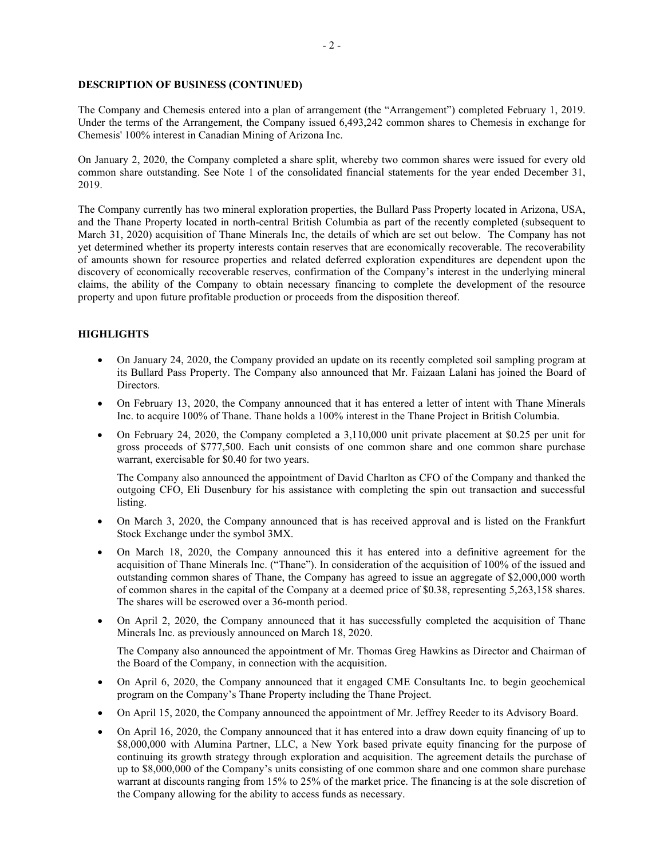### **DESCRIPTION OF BUSINESS (CONTINUED)**

The Company and Chemesis entered into a plan of arrangement (the "Arrangement") completed February 1, 2019. Under the terms of the Arrangement, the Company issued 6,493,242 common shares to Chemesis in exchange for Chemesis' 100% interest in Canadian Mining of Arizona Inc.

On January 2, 2020, the Company completed a share split, whereby two common shares were issued for every old common share outstanding. See Note 1 of the consolidated financial statements for the year ended December 31, 2019.

The Company currently has two mineral exploration properties, the Bullard Pass Property located in Arizona, USA, and the Thane Property located in north-central British Columbia as part of the recently completed (subsequent to March 31, 2020) acquisition of Thane Minerals Inc, the details of which are set out below. The Company has not yet determined whether its property interests contain reserves that are economically recoverable. The recoverability of amounts shown for resource properties and related deferred exploration expenditures are dependent upon the discovery of economically recoverable reserves, confirmation of the Company's interest in the underlying mineral claims, the ability of the Company to obtain necessary financing to complete the development of the resource property and upon future profitable production or proceeds from the disposition thereof.

## **HIGHLIGHTS**

- On January 24, 2020, the Company provided an update on its recently completed soil sampling program at its Bullard Pass Property. The Company also announced that Mr. Faizaan Lalani has joined the Board of Directors.
- On February 13, 2020, the Company announced that it has entered a letter of intent with Thane Minerals Inc. to acquire 100% of Thane. Thane holds a 100% interest in the Thane Project in British Columbia.
- On February 24, 2020, the Company completed a 3,110,000 unit private placement at \$0.25 per unit for gross proceeds of \$777,500. Each unit consists of one common share and one common share purchase warrant, exercisable for \$0.40 for two years.

The Company also announced the appointment of David Charlton as CFO of the Company and thanked the outgoing CFO, Eli Dusenbury for his assistance with completing the spin out transaction and successful listing.

- On March 3, 2020, the Company announced that is has received approval and is listed on the Frankfurt Stock Exchange under the symbol 3MX.
- On March 18, 2020, the Company announced this it has entered into a definitive agreement for the acquisition of Thane Minerals Inc. ("Thane"). In consideration of the acquisition of 100% of the issued and outstanding common shares of Thane, the Company has agreed to issue an aggregate of \$2,000,000 worth of common shares in the capital of the Company at a deemed price of \$0.38, representing 5,263,158 shares. The shares will be escrowed over a 36-month period.
- On April 2, 2020, the Company announced that it has successfully completed the acquisition of Thane Minerals Inc. as previously announced on March 18, 2020.

The Company also announced the appointment of Mr. Thomas Greg Hawkins as Director and Chairman of the Board of the Company, in connection with the acquisition.

- On April 6, 2020, the Company announced that it engaged CME Consultants Inc. to begin geochemical program on the Company's Thane Property including the Thane Project.
- On April 15, 2020, the Company announced the appointment of Mr. Jeffrey Reeder to its Advisory Board.
- On April 16, 2020, the Company announced that it has entered into a draw down equity financing of up to \$8,000,000 with Alumina Partner, LLC, a New York based private equity financing for the purpose of continuing its growth strategy through exploration and acquisition. The agreement details the purchase of up to \$8,000,000 of the Company's units consisting of one common share and one common share purchase warrant at discounts ranging from 15% to 25% of the market price. The financing is at the sole discretion of the Company allowing for the ability to access funds as necessary.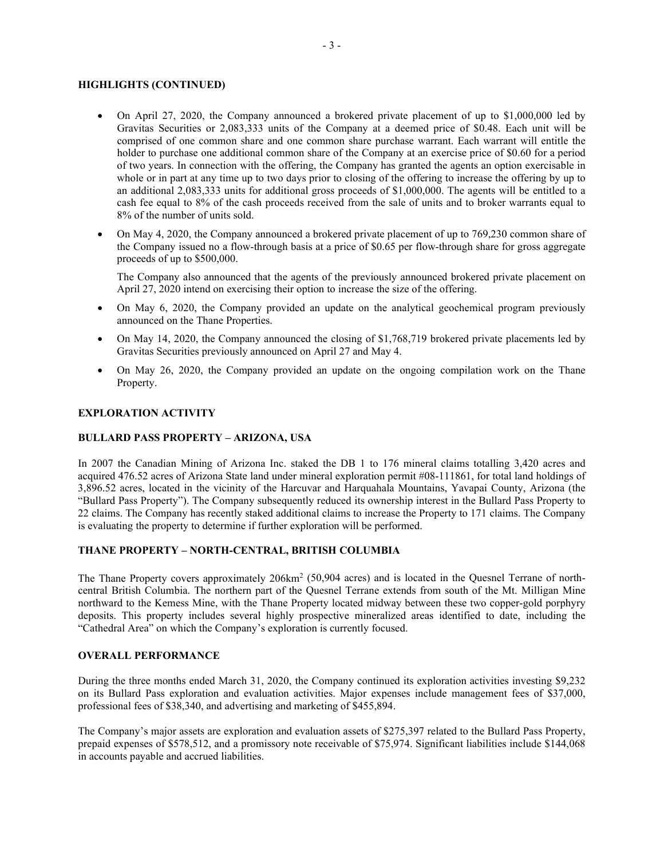### **HIGHLIGHTS (CONTINUED)**

- On April 27, 2020, the Company announced a brokered private placement of up to \$1,000,000 led by Gravitas Securities or 2,083,333 units of the Company at a deemed price of \$0.48. Each unit will be comprised of one common share and one common share purchase warrant. Each warrant will entitle the holder to purchase one additional common share of the Company at an exercise price of \$0.60 for a period of two years. In connection with the offering, the Company has granted the agents an option exercisable in whole or in part at any time up to two days prior to closing of the offering to increase the offering by up to an additional 2,083,333 units for additional gross proceeds of \$1,000,000. The agents will be entitled to a cash fee equal to 8% of the cash proceeds received from the sale of units and to broker warrants equal to 8% of the number of units sold.
- On May 4, 2020, the Company announced a brokered private placement of up to 769,230 common share of the Company issued no a flow-through basis at a price of \$0.65 per flow-through share for gross aggregate proceeds of up to \$500,000.

The Company also announced that the agents of the previously announced brokered private placement on April 27, 2020 intend on exercising their option to increase the size of the offering.

- On May 6, 2020, the Company provided an update on the analytical geochemical program previously announced on the Thane Properties.
- On May 14, 2020, the Company announced the closing of \$1,768,719 brokered private placements led by Gravitas Securities previously announced on April 27 and May 4.
- On May 26, 2020, the Company provided an update on the ongoing compilation work on the Thane Property.

#### **EXPLORATION ACTIVITY**

#### **BULLARD PASS PROPERTY – ARIZONA, USA**

In 2007 the Canadian Mining of Arizona Inc. staked the DB 1 to 176 mineral claims totalling 3,420 acres and acquired 476.52 acres of Arizona State land under mineral exploration permit #08-111861, for total land holdings of 3,896.52 acres, located in the vicinity of the Harcuvar and Harquahala Mountains, Yavapai County, Arizona (the "Bullard Pass Property"). The Company subsequently reduced its ownership interest in the Bullard Pass Property to 22 claims. The Company has recently staked additional claims to increase the Property to 171 claims. The Company is evaluating the property to determine if further exploration will be performed.

### **THANE PROPERTY – NORTH-CENTRAL, BRITISH COLUMBIA**

The Thane Property covers approximately 206km<sup>2</sup> (50,904 acres) and is located in the Quesnel Terrane of northcentral British Columbia. The northern part of the Quesnel Terrane extends from south of the Mt. Milligan Mine northward to the Kemess Mine, with the Thane Property located midway between these two copper-gold porphyry deposits. This property includes several highly prospective mineralized areas identified to date, including the "Cathedral Area" on which the Company's exploration is currently focused.

#### **OVERALL PERFORMANCE**

During the three months ended March 31, 2020, the Company continued its exploration activities investing \$9,232 on its Bullard Pass exploration and evaluation activities. Major expenses include management fees of \$37,000, professional fees of \$38,340, and advertising and marketing of \$455,894.

The Company's major assets are exploration and evaluation assets of \$275,397 related to the Bullard Pass Property, prepaid expenses of \$578,512, and a promissory note receivable of \$75,974. Significant liabilities include \$144,068 in accounts payable and accrued liabilities.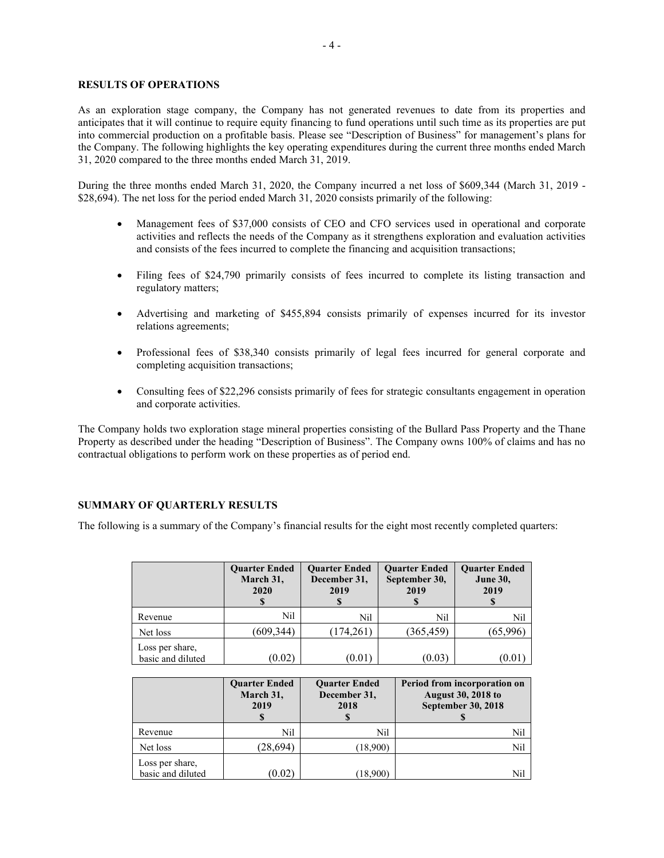### **RESULTS OF OPERATIONS**

As an exploration stage company, the Company has not generated revenues to date from its properties and anticipates that it will continue to require equity financing to fund operations until such time as its properties are put into commercial production on a profitable basis. Please see "Description of Business" for management's plans for the Company. The following highlights the key operating expenditures during the current three months ended March 31, 2020 compared to the three months ended March 31, 2019.

During the three months ended March 31, 2020, the Company incurred a net loss of \$609,344 (March 31, 2019 - \$28,694). The net loss for the period ended March 31, 2020 consists primarily of the following:

- Management fees of \$37,000 consists of CEO and CFO services used in operational and corporate activities and reflects the needs of the Company as it strengthens exploration and evaluation activities and consists of the fees incurred to complete the financing and acquisition transactions;
- Filing fees of \$24,790 primarily consists of fees incurred to complete its listing transaction and regulatory matters;
- Advertising and marketing of \$455,894 consists primarily of expenses incurred for its investor relations agreements;
- Professional fees of \$38,340 consists primarily of legal fees incurred for general corporate and completing acquisition transactions;
- Consulting fees of \$22,296 consists primarily of fees for strategic consultants engagement in operation and corporate activities.

The Company holds two exploration stage mineral properties consisting of the Bullard Pass Property and the Thane Property as described under the heading "Description of Business". The Company owns 100% of claims and has no contractual obligations to perform work on these properties as of period end.

#### **SUMMARY OF QUARTERLY RESULTS**

The following is a summary of the Company's financial results for the eight most recently completed quarters:

|                                      | <b>Quarter Ended</b><br>March 31,<br>2020 | <b>Ouarter Ended</b><br>December 31,<br>2019 | <b>Ouarter Ended</b><br>September 30,<br>2019 | <b>Quarter Ended</b><br><b>June 30,</b><br>2019 |
|--------------------------------------|-------------------------------------------|----------------------------------------------|-----------------------------------------------|-------------------------------------------------|
| Revenue                              | Nil                                       | Nil                                          | Nil                                           | Nil                                             |
| Net loss                             | (609,344)                                 | (174, 261)                                   | (365, 459)                                    | (65,996)                                        |
| Loss per share,<br>basic and diluted | (0.02)                                    | (0.01)                                       | (0.03)                                        | (0.01                                           |

|                                      | <b>Quarter Ended</b><br>March 31,<br>2019 | <b>Ouarter Ended</b><br>December 31,<br>2018 | Period from incorporation on<br><b>August 30, 2018 to</b><br><b>September 30, 2018</b> |
|--------------------------------------|-------------------------------------------|----------------------------------------------|----------------------------------------------------------------------------------------|
| Revenue                              | Nil                                       | Nil                                          | Nil                                                                                    |
| Net loss                             | (28,694)                                  | (18,900)                                     | Nil                                                                                    |
| Loss per share,<br>basic and diluted | (0.02)                                    | (18,900)                                     | Nil                                                                                    |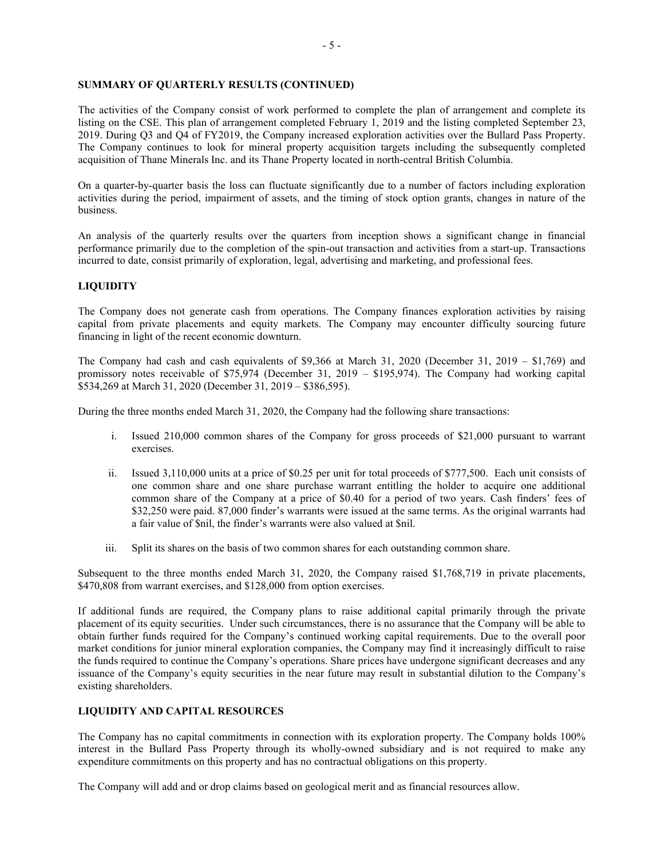### **SUMMARY OF QUARTERLY RESULTS (CONTINUED)**

The activities of the Company consist of work performed to complete the plan of arrangement and complete its listing on the CSE. This plan of arrangement completed February 1, 2019 and the listing completed September 23, 2019. During Q3 and Q4 of FY2019, the Company increased exploration activities over the Bullard Pass Property. The Company continues to look for mineral property acquisition targets including the subsequently completed acquisition of Thane Minerals Inc. and its Thane Property located in north-central British Columbia.

On a quarter-by-quarter basis the loss can fluctuate significantly due to a number of factors including exploration activities during the period, impairment of assets, and the timing of stock option grants, changes in nature of the business.

An analysis of the quarterly results over the quarters from inception shows a significant change in financial performance primarily due to the completion of the spin-out transaction and activities from a start-up. Transactions incurred to date, consist primarily of exploration, legal, advertising and marketing, and professional fees.

### **LIQUIDITY**

The Company does not generate cash from operations. The Company finances exploration activities by raising capital from private placements and equity markets. The Company may encounter difficulty sourcing future financing in light of the recent economic downturn.

The Company had cash and cash equivalents of \$9,366 at March 31, 2020 (December 31, 2019 – \$1,769) and promissory notes receivable of \$75,974 (December 31, 2019 – \$195,974). The Company had working capital \$534,269 at March 31, 2020 (December 31, 2019 – \$386,595).

During the three months ended March 31, 2020, the Company had the following share transactions:

- i. Issued 210,000 common shares of the Company for gross proceeds of \$21,000 pursuant to warrant exercises.
- ii. Issued 3,110,000 units at a price of \$0.25 per unit for total proceeds of \$777,500. Each unit consists of one common share and one share purchase warrant entitling the holder to acquire one additional common share of the Company at a price of \$0.40 for a period of two years. Cash finders' fees of \$32,250 were paid. 87,000 finder's warrants were issued at the same terms. As the original warrants had a fair value of \$nil, the finder's warrants were also valued at \$nil.
- iii. Split its shares on the basis of two common shares for each outstanding common share.

Subsequent to the three months ended March 31, 2020, the Company raised \$1,768,719 in private placements, \$470,808 from warrant exercises, and \$128,000 from option exercises.

If additional funds are required, the Company plans to raise additional capital primarily through the private placement of its equity securities. Under such circumstances, there is no assurance that the Company will be able to obtain further funds required for the Company's continued working capital requirements. Due to the overall poor market conditions for junior mineral exploration companies, the Company may find it increasingly difficult to raise the funds required to continue the Company's operations. Share prices have undergone significant decreases and any issuance of the Company's equity securities in the near future may result in substantial dilution to the Company's existing shareholders.

## **LIQUIDITY AND CAPITAL RESOURCES**

The Company has no capital commitments in connection with its exploration property. The Company holds 100% interest in the Bullard Pass Property through its wholly-owned subsidiary and is not required to make any expenditure commitments on this property and has no contractual obligations on this property.

The Company will add and or drop claims based on geological merit and as financial resources allow.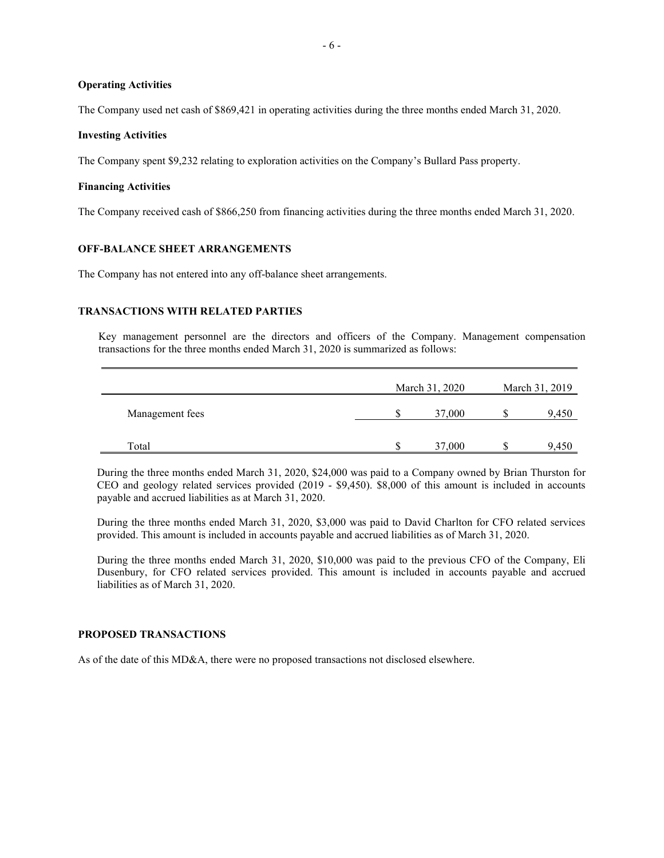### **Operating Activities**

The Company used net cash of \$869,421 in operating activities during the three months ended March 31, 2020.

#### **Investing Activities**

The Company spent \$9,232 relating to exploration activities on the Company's Bullard Pass property.

#### **Financing Activities**

The Company received cash of \$866,250 from financing activities during the three months ended March 31, 2020.

### **OFF-BALANCE SHEET ARRANGEMENTS**

The Company has not entered into any off-balance sheet arrangements.

#### **TRANSACTIONS WITH RELATED PARTIES**

Key management personnel are the directors and officers of the Company. Management compensation transactions for the three months ended March 31, 2020 is summarized as follows:

|                 | March 31, 2020 | March 31, 2019 |
|-----------------|----------------|----------------|
| Management fees | 37,000         | 9,450          |
| Total           | \$<br>37,000   | 9,450          |

During the three months ended March 31, 2020, \$24,000 was paid to a Company owned by Brian Thurston for CEO and geology related services provided (2019 - \$9,450). \$8,000 of this amount is included in accounts payable and accrued liabilities as at March 31, 2020.

During the three months ended March 31, 2020, \$3,000 was paid to David Charlton for CFO related services provided. This amount is included in accounts payable and accrued liabilities as of March 31, 2020.

During the three months ended March 31, 2020, \$10,000 was paid to the previous CFO of the Company, Eli Dusenbury, for CFO related services provided. This amount is included in accounts payable and accrued liabilities as of March 31, 2020.

#### **PROPOSED TRANSACTIONS**

As of the date of this MD&A, there were no proposed transactions not disclosed elsewhere.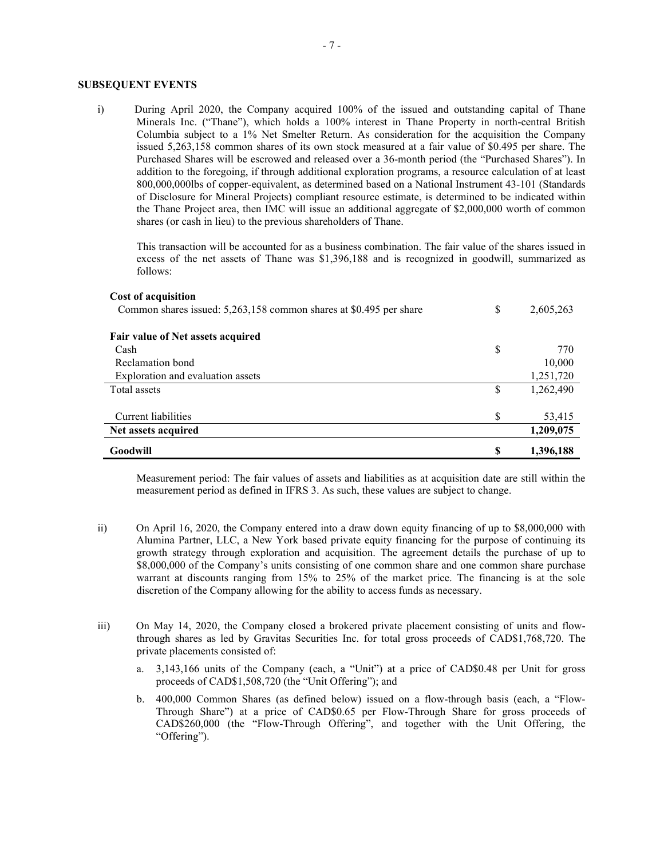### **SUBSEQUENT EVENTS**

i) During April 2020, the Company acquired 100% of the issued and outstanding capital of Thane Minerals Inc. ("Thane"), which holds a 100% interest in Thane Property in north-central British Columbia subject to a 1% Net Smelter Return. As consideration for the acquisition the Company issued 5,263,158 common shares of its own stock measured at a fair value of \$0.495 per share. The Purchased Shares will be escrowed and released over a 36-month period (the "Purchased Shares"). In addition to the foregoing, if through additional exploration programs, a resource calculation of at least 800,000,000lbs of copper-equivalent, as determined based on a National Instrument 43-101 (Standards of Disclosure for Mineral Projects) compliant resource estimate, is determined to be indicated within the Thane Project area, then IMC will issue an additional aggregate of \$2,000,000 worth of common shares (or cash in lieu) to the previous shareholders of Thane.

This transaction will be accounted for as a business combination. The fair value of the shares issued in excess of the net assets of Thane was \$1,396,188 and is recognized in goodwill, summarized as follows:

#### **Cost of acquisition**

| Common shares issued: 5,263,158 common shares at \$0.495 per share | \$ | 2,605,263 |
|--------------------------------------------------------------------|----|-----------|
| Fair value of Net assets acquired                                  |    |           |
| Cash                                                               | \$ | 770       |
| Reclamation bond                                                   |    | 10,000    |
| Exploration and evaluation assets                                  |    | 1,251,720 |
| Total assets                                                       | S  | 1,262,490 |
| Current liabilities                                                | S  | 53,415    |
| Net assets acquired                                                |    | 1,209,075 |
| Goodwill                                                           | \$ | 1,396,188 |

Measurement period: The fair values of assets and liabilities as at acquisition date are still within the measurement period as defined in IFRS 3. As such, these values are subject to change.

- ii) On April 16, 2020, the Company entered into a draw down equity financing of up to \$8,000,000 with Alumina Partner, LLC, a New York based private equity financing for the purpose of continuing its growth strategy through exploration and acquisition. The agreement details the purchase of up to \$8,000,000 of the Company's units consisting of one common share and one common share purchase warrant at discounts ranging from 15% to 25% of the market price. The financing is at the sole discretion of the Company allowing for the ability to access funds as necessary.
- iii) On May 14, 2020, the Company closed a brokered private placement consisting of units and flowthrough shares as led by Gravitas Securities Inc. for total gross proceeds of CAD\$1,768,720. The private placements consisted of:
	- a. 3,143,166 units of the Company (each, a "Unit") at a price of CAD\$0.48 per Unit for gross proceeds of CAD\$1,508,720 (the "Unit Offering"); and
	- b. 400,000 Common Shares (as defined below) issued on a flow-through basis (each, a "Flow-Through Share") at a price of CAD\$0.65 per Flow-Through Share for gross proceeds of CAD\$260,000 (the "Flow-Through Offering", and together with the Unit Offering, the "Offering").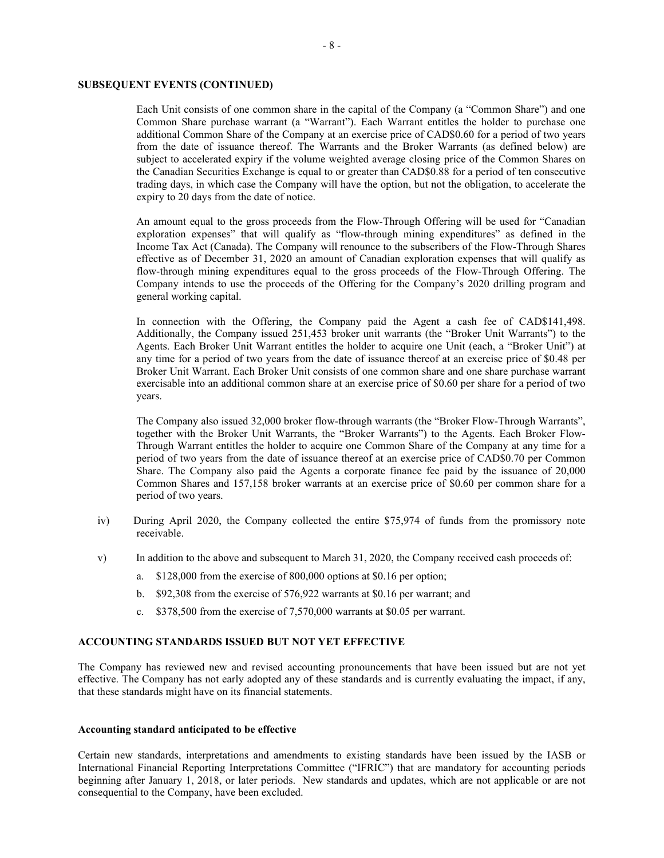### **SUBSEQUENT EVENTS (CONTINUED)**

Each Unit consists of one common share in the capital of the Company (a "Common Share") and one Common Share purchase warrant (a "Warrant"). Each Warrant entitles the holder to purchase one additional Common Share of the Company at an exercise price of CAD\$0.60 for a period of two years from the date of issuance thereof. The Warrants and the Broker Warrants (as defined below) are subject to accelerated expiry if the volume weighted average closing price of the Common Shares on the Canadian Securities Exchange is equal to or greater than CAD\$0.88 for a period of ten consecutive trading days, in which case the Company will have the option, but not the obligation, to accelerate the expiry to 20 days from the date of notice.

An amount equal to the gross proceeds from the Flow-Through Offering will be used for "Canadian exploration expenses" that will qualify as "flow-through mining expenditures" as defined in the Income Tax Act (Canada). The Company will renounce to the subscribers of the Flow-Through Shares effective as of December 31, 2020 an amount of Canadian exploration expenses that will qualify as flow-through mining expenditures equal to the gross proceeds of the Flow-Through Offering. The Company intends to use the proceeds of the Offering for the Company's 2020 drilling program and general working capital.

In connection with the Offering, the Company paid the Agent a cash fee of CAD\$141,498. Additionally, the Company issued 251,453 broker unit warrants (the "Broker Unit Warrants") to the Agents. Each Broker Unit Warrant entitles the holder to acquire one Unit (each, a "Broker Unit") at any time for a period of two years from the date of issuance thereof at an exercise price of \$0.48 per Broker Unit Warrant. Each Broker Unit consists of one common share and one share purchase warrant exercisable into an additional common share at an exercise price of \$0.60 per share for a period of two years.

The Company also issued 32,000 broker flow-through warrants (the "Broker Flow-Through Warrants", together with the Broker Unit Warrants, the "Broker Warrants") to the Agents. Each Broker Flow-Through Warrant entitles the holder to acquire one Common Share of the Company at any time for a period of two years from the date of issuance thereof at an exercise price of CAD\$0.70 per Common Share. The Company also paid the Agents a corporate finance fee paid by the issuance of 20,000 Common Shares and 157,158 broker warrants at an exercise price of \$0.60 per common share for a period of two years.

- iv) During April 2020, the Company collected the entire \$75,974 of funds from the promissory note receivable.
- v) In addition to the above and subsequent to March 31, 2020, the Company received cash proceeds of:
	- a. \$128,000 from the exercise of 800,000 options at \$0.16 per option;
	- b. \$92,308 from the exercise of 576,922 warrants at \$0.16 per warrant; and
	- c. \$378,500 from the exercise of 7,570,000 warrants at \$0.05 per warrant.

#### **ACCOUNTING STANDARDS ISSUED BUT NOT YET EFFECTIVE**

The Company has reviewed new and revised accounting pronouncements that have been issued but are not yet effective. The Company has not early adopted any of these standards and is currently evaluating the impact, if any, that these standards might have on its financial statements.

#### **Accounting standard anticipated to be effective**

Certain new standards, interpretations and amendments to existing standards have been issued by the IASB or International Financial Reporting Interpretations Committee ("IFRIC") that are mandatory for accounting periods beginning after January 1, 2018, or later periods. New standards and updates, which are not applicable or are not consequential to the Company, have been excluded.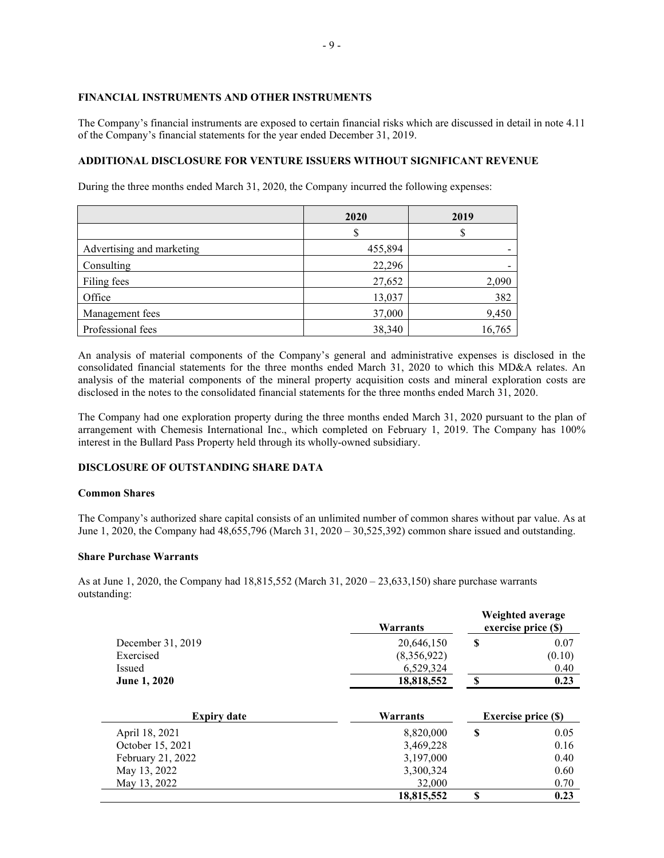#### **FINANCIAL INSTRUMENTS AND OTHER INSTRUMENTS**

The Company's financial instruments are exposed to certain financial risks which are discussed in detail in note 4.11 of the Company's financial statements for the year ended December 31, 2019.

## **ADDITIONAL DISCLOSURE FOR VENTURE ISSUERS WITHOUT SIGNIFICANT REVENUE**

During the three months ended March 31, 2020, the Company incurred the following expenses:

|                           | 2020    | 2019   |
|---------------------------|---------|--------|
|                           |         |        |
| Advertising and marketing | 455,894 |        |
| Consulting                | 22,296  |        |
| Filing fees               | 27,652  | 2,090  |
| Office                    | 13,037  | 382    |
| Management fees           | 37,000  | 9,450  |
| Professional fees         | 38,340  | 16,765 |

An analysis of material components of the Company's general and administrative expenses is disclosed in the consolidated financial statements for the three months ended March 31, 2020 to which this MD&A relates. An analysis of the material components of the mineral property acquisition costs and mineral exploration costs are disclosed in the notes to the consolidated financial statements for the three months ended March 31, 2020.

The Company had one exploration property during the three months ended March 31, 2020 pursuant to the plan of arrangement with Chemesis International Inc., which completed on February 1, 2019. The Company has 100% interest in the Bullard Pass Property held through its wholly-owned subsidiary.

## **DISCLOSURE OF OUTSTANDING SHARE DATA**

#### **Common Shares**

The Company's authorized share capital consists of an unlimited number of common shares without par value. As at June 1, 2020, the Company had 48,655,796 (March 31, 2020 – 30,525,392) common share issued and outstanding.

### **Share Purchase Warrants**

As at June 1, 2020, the Company had 18,815,552 (March 31, 2020 – 23,633,150) share purchase warrants outstanding:

|                     | Warrants    |            | Weighted average<br>exercise price (\$) |
|---------------------|-------------|------------|-----------------------------------------|
| December 31, 2019   | 20,646,150  | S          | 0.07                                    |
| Exercised           | (8,356,922) |            | (0.10)                                  |
| Issued              | 6,529,324   |            | 0.40                                    |
| <b>June 1, 2020</b> | 18,818,552  |            | 0.23                                    |
| <b>Expiry date</b>  | Warrants    |            | <b>Exercise price (S)</b>               |
| 1.30001             | 0.020.000   | $\sqrt{2}$ | $\Omega$                                |

| April 18, 2021    | 8,820,000  | 0.05 |
|-------------------|------------|------|
| October 15, 2021  | 3,469,228  | 0.16 |
| February 21, 2022 | 3,197,000  | 0.40 |
| May 13, 2022      | 3,300,324  | 0.60 |
| May 13, 2022      | 32,000     | 0.70 |
|                   | 18,815,552 | 0.23 |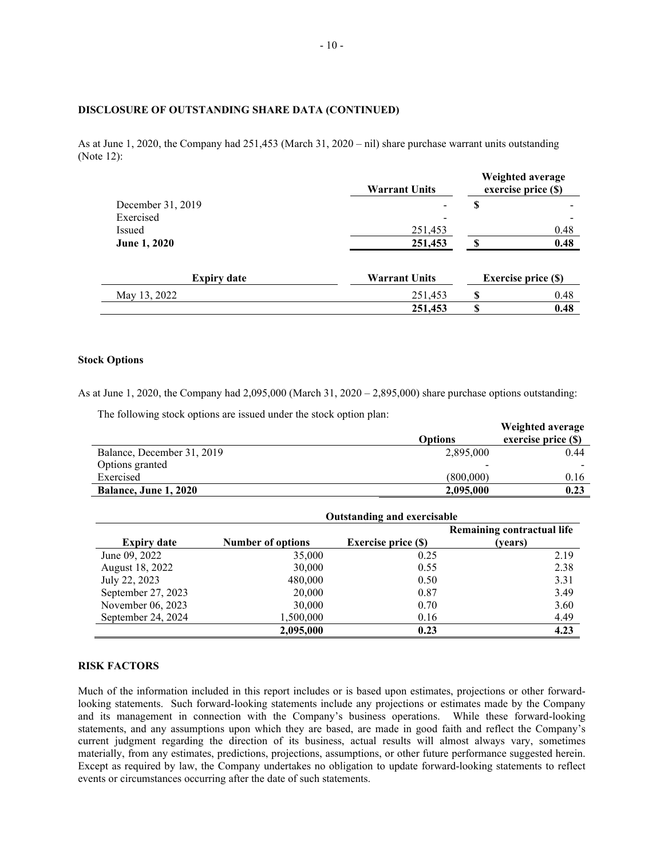### **DISCLOSURE OF OUTSTANDING SHARE DATA (CONTINUED)**

As at June 1, 2020, the Company had 251,453 (March 31, 2020 – nil) share purchase warrant units outstanding (Note 12):

|                     | <b>Warrant Units</b> |    | Weighted average<br>exercise price (\$) |
|---------------------|----------------------|----|-----------------------------------------|
| December 31, 2019   |                      | S  |                                         |
| Exercised           |                      |    | $\overline{\phantom{a}}$                |
| Issued              | 251,453              |    | 0.48                                    |
| <b>June 1, 2020</b> | 251,453              | S  | 0.48                                    |
| <b>Expiry date</b>  | <b>Warrant Units</b> |    | Exercise price (\$)                     |
| May 13, 2022        | 251,453              | S  | 0.48                                    |
|                     | 251,453              | \$ | 0.48                                    |

#### **Stock Options**

As at June 1, 2020, the Company had 2,095,000 (March 31, 2020 – 2,895,000) share purchase options outstanding:

The following stock options are issued under the stock option plan:

|                            |                | Weighted average      |
|----------------------------|----------------|-----------------------|
|                            | <b>Options</b> | exercise price $(\$)$ |
| Balance, December 31, 2019 | 2,895,000      | 0.44                  |
| Options granted            |                |                       |
| Exercised                  | (800.000)      | 0.16                  |
| Balance, June 1, 2020      | 2,095,000      | 0.23                  |

|                    | <b>Outstanding and exercisable</b> |                            |                            |  |
|--------------------|------------------------------------|----------------------------|----------------------------|--|
|                    |                                    |                            | Remaining contractual life |  |
| <b>Expiry date</b> | <b>Number of options</b>           | <b>Exercise price (\$)</b> | (years)                    |  |
| June 09, 2022      | 35,000                             | 0.25                       | 2.19                       |  |
| August 18, 2022    | 30,000                             | 0.55                       | 2.38                       |  |
| July 22, 2023      | 480,000                            | 0.50                       | 3.31                       |  |
| September 27, 2023 | 20,000                             | 0.87                       | 3.49                       |  |
| November 06, 2023  | 30,000                             | 0.70                       | 3.60                       |  |
| September 24, 2024 | 1,500,000                          | 0.16                       | 4.49                       |  |
|                    | 2,095,000                          | 0.23                       | 4.23                       |  |

#### **RISK FACTORS**

Much of the information included in this report includes or is based upon estimates, projections or other forwardlooking statements. Such forward-looking statements include any projections or estimates made by the Company and its management in connection with the Company's business operations. While these forward-looking statements, and any assumptions upon which they are based, are made in good faith and reflect the Company's current judgment regarding the direction of its business, actual results will almost always vary, sometimes materially, from any estimates, predictions, projections, assumptions, or other future performance suggested herein. Except as required by law, the Company undertakes no obligation to update forward-looking statements to reflect events or circumstances occurring after the date of such statements.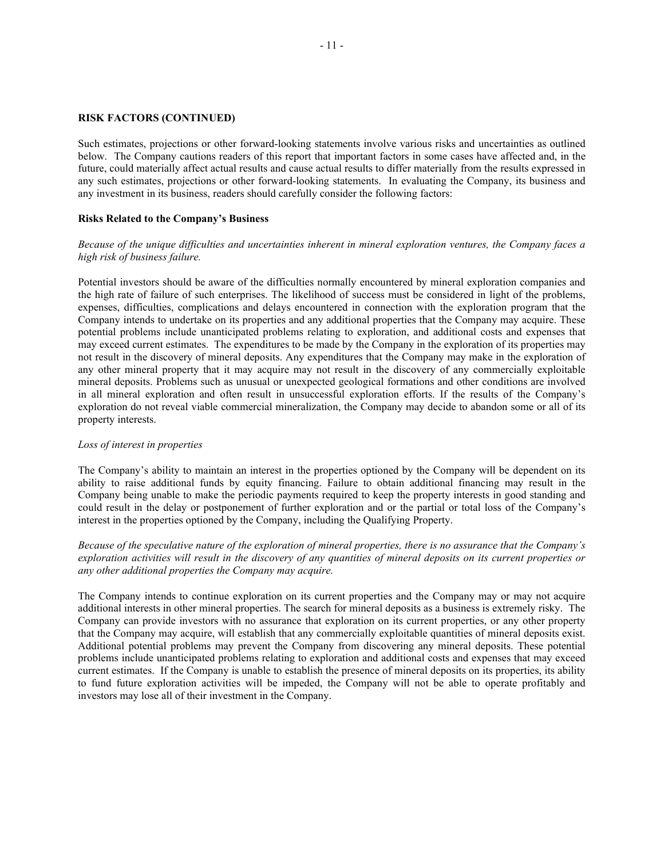#### **RISK FACTORS (CONTINUED)**

Such estimates, projections or other forward-looking statements involve various risks and uncertainties as outlined below. The Company cautions readers of this report that important factors in some cases have affected and, in the future, could materially affect actual results and cause actual results to differ materially from the results expressed in any such estimates, projections or other forward-looking statements. In evaluating the Company, its business and any investment in its business, readers should carefully consider the following factors:

#### **Risks Related to the Company's Business**

#### *Because of the unique difficulties and uncertainties inherent in mineral exploration ventures, the Company faces a high risk of business failure.*

Potential investors should be aware of the difficulties normally encountered by mineral exploration companies and the high rate of failure of such enterprises. The likelihood of success must be considered in light of the problems, expenses, difficulties, complications and delays encountered in connection with the exploration program that the Company intends to undertake on its properties and any additional properties that the Company may acquire. These potential problems include unanticipated problems relating to exploration, and additional costs and expenses that may exceed current estimates. The expenditures to be made by the Company in the exploration of its properties may not result in the discovery of mineral deposits. Any expenditures that the Company may make in the exploration of any other mineral property that it may acquire may not result in the discovery of any commercially exploitable mineral deposits. Problems such as unusual or unexpected geological formations and other conditions are involved in all mineral exploration and often result in unsuccessful exploration efforts. If the results of the Company's exploration do not reveal viable commercial mineralization, the Company may decide to abandon some or all of its property interests.

#### *Loss of interest in properties*

The Company's ability to maintain an interest in the properties optioned by the Company will be dependent on its ability to raise additional funds by equity financing. Failure to obtain additional financing may result in the Company being unable to make the periodic payments required to keep the property interests in good standing and could result in the delay or postponement of further exploration and or the partial or total loss of the Company's interest in the properties optioned by the Company, including the Qualifying Property.

### *Because of the speculative nature of the exploration of mineral properties, there is no assurance that the Company's exploration activities will result in the discovery of any quantities of mineral deposits on its current properties or any other additional properties the Company may acquire.*

The Company intends to continue exploration on its current properties and the Company may or may not acquire additional interests in other mineral properties. The search for mineral deposits as a business is extremely risky. The Company can provide investors with no assurance that exploration on its current properties, or any other property that the Company may acquire, will establish that any commercially exploitable quantities of mineral deposits exist. Additional potential problems may prevent the Company from discovering any mineral deposits. These potential problems include unanticipated problems relating to exploration and additional costs and expenses that may exceed current estimates. If the Company is unable to establish the presence of mineral deposits on its properties, its ability to fund future exploration activities will be impeded, the Company will not be able to operate profitably and investors may lose all of their investment in the Company.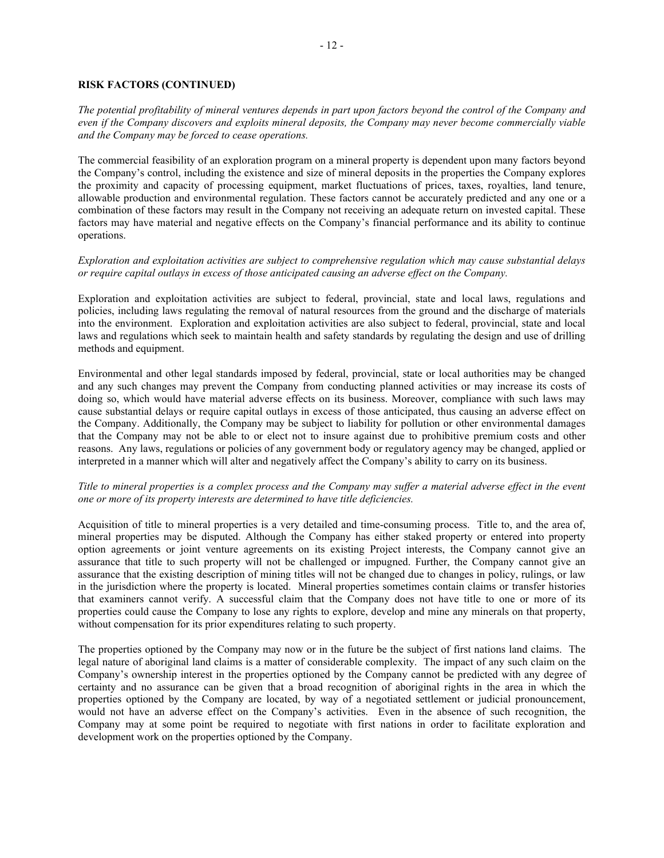### **RISK FACTORS (CONTINUED)**

*The potential profitability of mineral ventures depends in part upon factors beyond the control of the Company and even if the Company discovers and exploits mineral deposits, the Company may never become commercially viable and the Company may be forced to cease operations.*

The commercial feasibility of an exploration program on a mineral property is dependent upon many factors beyond the Company's control, including the existence and size of mineral deposits in the properties the Company explores the proximity and capacity of processing equipment, market fluctuations of prices, taxes, royalties, land tenure, allowable production and environmental regulation. These factors cannot be accurately predicted and any one or a combination of these factors may result in the Company not receiving an adequate return on invested capital. These factors may have material and negative effects on the Company's financial performance and its ability to continue operations.

*Exploration and exploitation activities are subject to comprehensive regulation which may cause substantial delays or require capital outlays in excess of those anticipated causing an adverse effect on the Company.*

Exploration and exploitation activities are subject to federal, provincial, state and local laws, regulations and policies, including laws regulating the removal of natural resources from the ground and the discharge of materials into the environment. Exploration and exploitation activities are also subject to federal, provincial, state and local laws and regulations which seek to maintain health and safety standards by regulating the design and use of drilling methods and equipment.

Environmental and other legal standards imposed by federal, provincial, state or local authorities may be changed and any such changes may prevent the Company from conducting planned activities or may increase its costs of doing so, which would have material adverse effects on its business. Moreover, compliance with such laws may cause substantial delays or require capital outlays in excess of those anticipated, thus causing an adverse effect on the Company. Additionally, the Company may be subject to liability for pollution or other environmental damages that the Company may not be able to or elect not to insure against due to prohibitive premium costs and other reasons. Any laws, regulations or policies of any government body or regulatory agency may be changed, applied or interpreted in a manner which will alter and negatively affect the Company's ability to carry on its business.

### *Title to mineral properties is a complex process and the Company may suffer a material adverse effect in the event one or more of its property interests are determined to have title deficiencies.*

Acquisition of title to mineral properties is a very detailed and time-consuming process. Title to, and the area of, mineral properties may be disputed. Although the Company has either staked property or entered into property option agreements or joint venture agreements on its existing Project interests, the Company cannot give an assurance that title to such property will not be challenged or impugned. Further, the Company cannot give an assurance that the existing description of mining titles will not be changed due to changes in policy, rulings, or law in the jurisdiction where the property is located. Mineral properties sometimes contain claims or transfer histories that examiners cannot verify. A successful claim that the Company does not have title to one or more of its properties could cause the Company to lose any rights to explore, develop and mine any minerals on that property, without compensation for its prior expenditures relating to such property.

The properties optioned by the Company may now or in the future be the subject of first nations land claims. The legal nature of aboriginal land claims is a matter of considerable complexity. The impact of any such claim on the Company's ownership interest in the properties optioned by the Company cannot be predicted with any degree of certainty and no assurance can be given that a broad recognition of aboriginal rights in the area in which the properties optioned by the Company are located, by way of a negotiated settlement or judicial pronouncement, would not have an adverse effect on the Company's activities. Even in the absence of such recognition, the Company may at some point be required to negotiate with first nations in order to facilitate exploration and development work on the properties optioned by the Company.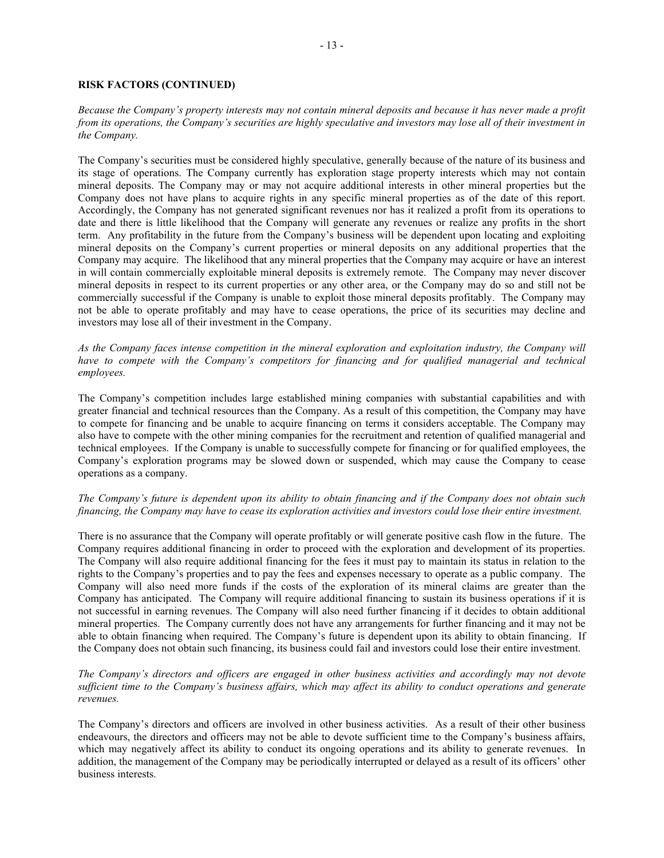### **RISK FACTORS (CONTINUED)**

*Because the Company's property interests may not contain mineral deposits and because it has never made a profit from its operations, the Company's securities are highly speculative and investors may lose all of their investment in the Company.*

The Company's securities must be considered highly speculative, generally because of the nature of its business and its stage of operations. The Company currently has exploration stage property interests which may not contain mineral deposits. The Company may or may not acquire additional interests in other mineral properties but the Company does not have plans to acquire rights in any specific mineral properties as of the date of this report. Accordingly, the Company has not generated significant revenues nor has it realized a profit from its operations to date and there is little likelihood that the Company will generate any revenues or realize any profits in the short term. Any profitability in the future from the Company's business will be dependent upon locating and exploiting mineral deposits on the Company's current properties or mineral deposits on any additional properties that the Company may acquire. The likelihood that any mineral properties that the Company may acquire or have an interest in will contain commercially exploitable mineral deposits is extremely remote. The Company may never discover mineral deposits in respect to its current properties or any other area, or the Company may do so and still not be commercially successful if the Company is unable to exploit those mineral deposits profitably. The Company may not be able to operate profitably and may have to cease operations, the price of its securities may decline and investors may lose all of their investment in the Company.

*As the Company faces intense competition in the mineral exploration and exploitation industry, the Company will have to compete with the Company's competitors for financing and for qualified managerial and technical employees.*

The Company's competition includes large established mining companies with substantial capabilities and with greater financial and technical resources than the Company. As a result of this competition, the Company may have to compete for financing and be unable to acquire financing on terms it considers acceptable. The Company may also have to compete with the other mining companies for the recruitment and retention of qualified managerial and technical employees. If the Company is unable to successfully compete for financing or for qualified employees, the Company's exploration programs may be slowed down or suspended, which may cause the Company to cease operations as a company.

#### *The Company's future is dependent upon its ability to obtain financing and if the Company does not obtain such financing, the Company may have to cease its exploration activities and investors could lose their entire investment.*

There is no assurance that the Company will operate profitably or will generate positive cash flow in the future. The Company requires additional financing in order to proceed with the exploration and development of its properties. The Company will also require additional financing for the fees it must pay to maintain its status in relation to the rights to the Company's properties and to pay the fees and expenses necessary to operate as a public company. The Company will also need more funds if the costs of the exploration of its mineral claims are greater than the Company has anticipated. The Company will require additional financing to sustain its business operations if it is not successful in earning revenues. The Company will also need further financing if it decides to obtain additional mineral properties. The Company currently does not have any arrangements for further financing and it may not be able to obtain financing when required. The Company's future is dependent upon its ability to obtain financing. If the Company does not obtain such financing, its business could fail and investors could lose their entire investment.

*The Company's directors and officers are engaged in other business activities and accordingly may not devote sufficient time to the Company's business affairs, which may affect its ability to conduct operations and generate revenues.*

The Company's directors and officers are involved in other business activities. As a result of their other business endeavours, the directors and officers may not be able to devote sufficient time to the Company's business affairs, which may negatively affect its ability to conduct its ongoing operations and its ability to generate revenues. In addition, the management of the Company may be periodically interrupted or delayed as a result of its officers' other business interests.